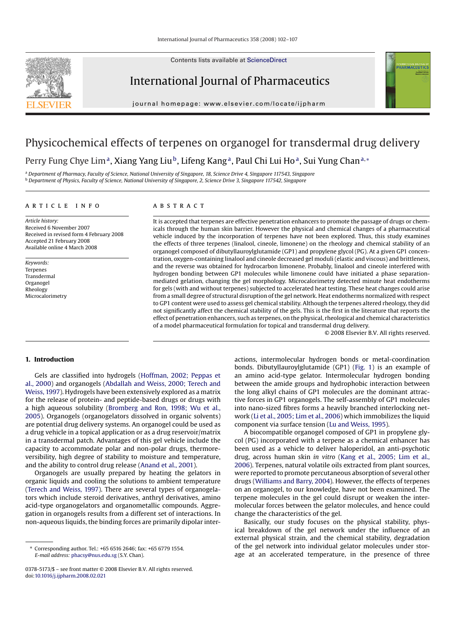Contents lists available at [ScienceDirect](http://www.sciencedirect.com/science/journal/03785173)



# International Journal of Pharmaceutics

journal homepage: www.elsevier.com/locate/ijpharm

# Physicochemical effects of terpenes on organogel for transdermal drug delivery Perry Fung Chye Lim<sup>a</sup>, Xiang Yang Liu<sup>b</sup>, Lifeng Kang<sup>a</sup>, Paul Chi Lui Ho<sup>a</sup>, Sui Yung Chan<sup>a,∗</sup>

<sup>a</sup> *Department of Pharmacy, Faculty of Science, National University of Singapore, 18, Science Drive 4, Singapore 117543, Singapore* <sup>b</sup> *Department of Physics, Faculty of Science, National University of Singapore, 2, Science Drive 3, Singapore 117542, Singapore*

## article info

*Article history:* Received 6 November 2007 Received in revised form 4 February 2008 Accepted 21 February 2008 Available online 4 March 2008

*Keywords:* **Terpenes** Transdermal Organogel Rheology **Microcalorimetry** 

# A B S T R A C T

It is accepted that terpenes are effective penetration enhancers to promote the passage of drugs or chemicals through the human skin barrier. However the physical and chemical changes of a pharmaceutical vehicle induced by the incorporation of terpenes have not been explored. Thus, this study examines the effects of three terpenes (linalool, cineole, limonene) on the rheology and chemical stability of an organogel composed of dibutyllauroylglutamide (GP1) and propylene glycol (PG). At a given GP1 concentration, oxygen-containing linalool and cineole decreased gel moduli (elastic and viscous) and brittleness, and the reverse was obtained for hydrocarbon limonene. Probably, linalool and cineole interfered with hydrogen bonding between GP1 molecules while limonene could have initiated a phase separationmediated gelation, changing the gel morphology. Microcalorimetry detected minute heat endotherms for gels (with and without terpenes) subjected to accelerated heat testing. These heat changes could arise from a small degree of structural disruption of the gel network. Heat endotherms normalized with respect to GP1 content were used to assess gel chemical stability. Although the terpenes altered rheology, they did not significantly affect the chemical stability of the gels. This is the first in the literature that reports the effect of penetration enhancers, such as terpenes, on the physical, rheological and chemical characteristics of a model pharmaceutical formulation for topical and transdermal drug delivery.

© 2008 Elsevier B.V. All rights reserved.

**TERNATIONAL JOURNAL**<br>P**HARMACEUTIC** 

## **1. Introduction**

Gels are classified into hydrogels [\(Hoffman, 2002; Peppas et](#page-4-0) [al., 2000\)](#page-4-0) and organogels ([Abdallah and Weiss, 2000; Terech and](#page-4-0) [Weiss, 1997\).](#page-4-0) Hydrogels have been extensively explored as a matrix for the release of protein- and peptide-based drugs or drugs with a high aqueous solubility [\(Bromberg and Ron, 1998; Wu et al.,](#page-4-0) [2005\).](#page-4-0) Organogels (organogelators dissolved in organic solvents) are potential drug delivery systems. An organogel could be used as a drug vehicle in a topical application or as a drug reservoir/matrix in a transdermal patch. Advantages of this gel vehicle include the capacity to accommodate polar and non-polar drugs, thermoreversibility, high degree of stability to moisture and temperature, and the ability to control drug release ([Anand et al., 2001\).](#page-4-0)

Organogels are usually prepared by heating the gelators in organic liquids and cooling the solutions to ambient temperature ([Terech and Weiss, 1997\).](#page-5-0) There are several types of organogelators which include steroid derivatives, anthryl derivatives, amino acid-type organogelators and organometallic compounds. Aggregation in organogels results from a different set of interactions. In non-aqueous liquids, the binding forces are primarily dipolar inter-

actions, intermolecular hydrogen bonds or metal-coordination bonds. Dibutyllauroylglutamide (GP1) [\(Fig. 1\)](#page-1-0) is an example of an amino acid-type gelator. Intermolecular hydrogen bonding between the amide groups and hydrophobic interaction between the long alkyl chains of GP1 molecules are the dominant attractive forces in GP1 organogels. The self-assembly of GP1 molecules into nano-sized fibres forms a heavily branched interlocking network [\(Li et al., 2005; Lim et al., 2006\)](#page-4-0) which immobilizes the liquid component via surface tension [\(Lu and Weiss, 1995\).](#page-5-0)

A biocompatible organogel composed of GP1 in propylene glycol (PG) incorporated with a terpene as a chemical enhancer has been used as a vehicle to deliver haloperidol, an anti-psychotic drug, across human skin *in vitro* ([Kang et al., 2005; Lim et al.,](#page-4-0) [2006\).](#page-4-0) Terpenes, natural volatile oils extracted from plant sources, were reported to promote percutaneous absorption of several other drugs [\(Williams and Barry, 2004\).](#page-5-0) However, the effects of terpenes on an organogel, to our knowledge, have not been examined. The terpene molecules in the gel could disrupt or weaken the intermolecular forces between the gelator molecules, and hence could change the characteristics of the gel.

Basically, our study focuses on the physical stability, physical breakdown of the gel network under the influence of an external physical strain, and the chemical stability, degradation of the gel network into individual gelator molecules under storage at an accelerated temperature, in the presence of three

<sup>∗</sup> Corresponding author. Tel.: +65 6516 2646; fax: +65 6779 1554. *E-mail address:* [phacsy@nus.edu.sg](mailto:phacsy@nus.edu.sg) (S.Y. Chan).

<sup>0378-5173/\$ –</sup> see front matter © 2008 Elsevier B.V. All rights reserved. doi:[10.1016/j.ijpharm.2008.02.021](dx.doi.org/10.1016/j.ijpharm.2008.02.021)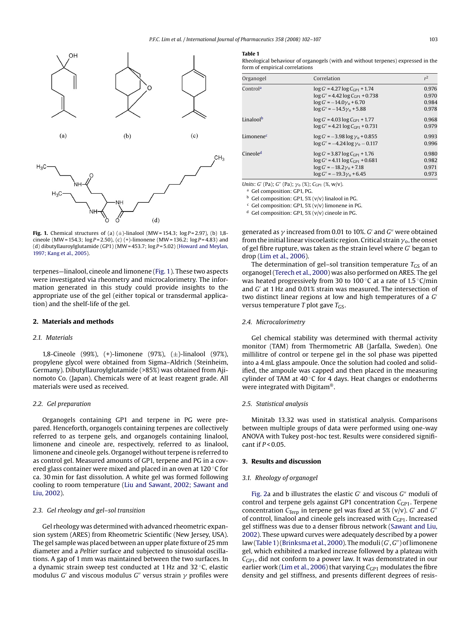<span id="page-1-0"></span>

**Fig. 1.** Chemical structures of (a)  $(\pm)$ -linalool (MW = 154.3;  $\log P = 2.97$ ), (b) 1,8cineole (MW = 154.3; log *P* = 2.50), (c) (+)-limonene (MW = 136.2; log *P* = 4.83) and (d) dibutyllauroylglutamide (GP1) (MW = 453.7; log *P* = 5.02) [\(Howard and Meylan,](#page-4-0) [1997; Kang et al., 2005\).](#page-4-0)

terpenes—linalool, cineole and limonene (Fig. 1). These two aspects were investigated via rheometry and microcalorimetry. The information generated in this study could provide insights to the appropriate use of the gel (either topical or transdermal application) and the shelf-life of the gel.

#### **2. Materials and methods**

## *2.1. Materials*

1,8-Cineole (99%), (+)-limonene (97%), (±)-linalool (97%), propylene glycol were obtained from Sigma–Aldrich (Steinheim, Germany). Dibutyllauroylglutamide (>85%) was obtained from Ajinomoto Co. (Japan). Chemicals were of at least reagent grade. All materials were used as received.

## *2.2. Gel preparation*

Organogels containing GP1 and terpene in PG were prepared. Henceforth, organogels containing terpenes are collectively referred to as terpene gels, and organogels containing linalool, limonene and cineole are, respectively, referred to as linalool, limonene and cineole gels. Organogel without terpene is referred to as control gel. Measured amounts of GP1, terpene and PG in a covered glass container were mixed and placed in an oven at 120 ◦C for ca. 30 min for fast dissolution. A white gel was formed following cooling to room temperature ([Liu and Sawant, 2002; Sawant and](#page-4-0) [Liu, 2002\).](#page-4-0)

## *2.3. Gel rheology and gel–sol transition*

Gel rheology was determined with advanced rheometric expansion system (ARES) from Rheometric Scientific (New Jersey, USA). The gel sample was placed between an upper plate fixture of 25 mm diameter and a *Peltier* surface and subjected to sinusoidal oscillations. A gap of 1 mm was maintained between the two surfaces. In a dynamic strain sweep test conducted at 1 Hz and 32 ◦C, elastic modulus  $G'$  and viscous modulus  $G''$  versus strain  $\gamma$  profiles were

#### **Table 1**

Rheological behaviour of organogels (with and without terpenes) expressed in the form of empirical correlations

| Organogel             | Correlation                                | r <sup>2</sup> |
|-----------------------|--------------------------------------------|----------------|
| Control <sup>a</sup>  | $\log G$ = 4.27 $\log C_{GP1}$ + 1.74      | 0.976          |
|                       | $\log G'' = 4.42 \log C_{\rm GP1} + 0.738$ | 0.970          |
|                       | $\log G' = -14.0\gamma_0 + 6.70$           | 0.984          |
|                       | $\log G'' = -14.5\gamma_0 + 5.88$          | 0.978          |
| Linaloolb             | $\log G$ = 4.03 $\log C_{CP1}$ + 1.77      | 0.968          |
|                       | $\log G'' = 4.21 \log C_{CP1} + 0.731$     | 0.979          |
| Limonene <sup>c</sup> | $\log G' = -3.98 \log \gamma_0 + 0.855$    | 0.993          |
|                       | $\log G'' = -4.24 \log \gamma_0 - 0.117$   | 0.996          |
| Cineole <sup>d</sup>  | $\log G$ = 3.87 $\log C_{CP1}$ + 1.76      | 0.980          |
|                       | $\log G'' = 4.11 \log C_{CP1} + 0.681$     | 0.982          |
|                       | $\log G' = -18.2\gamma_0 + 7.18$           | 0.971          |
|                       | $\log G'' = -19.3\gamma_0 + 6.45$          | 0.973          |

*Units*: *G'* (Pa); *G''* (Pa);  $\gamma_0$  (%); *C*<sub>GP1</sub> (%, w/v).

<sup>a</sup> Gel composition: GP1, PG.

 $<sup>b</sup>$  Gel composition: GP1, 5% (v/v) linalool in PG.</sup>

 $c$  Gel composition: GP1, 5% (v/v) limonene in PG.

<sup>d</sup> Gel composition: GP1, 5% (v/v) cineole in PG.

generated as  $\gamma$  increased from 0.01 to 10%.  $G'$  and  $G''$  were obtained from the initial linear viscoelastic region. Critical strain  $\gamma$  , the onset of gel fibre rupture, was taken as the strain level where *G* began to drop [\(Lim et al., 2006\).](#page-4-0)

The determination of gel–sol transition temperature  $T_{GS}$  of an organogel ([Terech et al., 2000\) w](#page-5-0)as also performed on ARES. The gel was heated progressively from 30 to 100 °C at a rate of 1.5 °C/min and *G* at 1 Hz and 0.01% strain was measured. The intersection of two distinct linear regions at low and high temperatures of a *G* versus temperature  $T$  plot gave  $T_{GS}$ .

#### *2.4. Microcalorimetry*

Gel chemical stability was determined with thermal activity monitor (TAM) from Thermometric AB (Jarfalla, Sweden). One millilitre of control or terpene gel in the sol phase was pipetted into a 4 mL glass ampoule. Once the solution had cooled and solidified, the ampoule was capped and then placed in the measuring cylinder of TAM at  $40^{\circ}$ C for 4 days. Heat changes or endotherms were integrated with Digitam®.

#### *2.5. Statistical analysis*

Minitab 13.32 was used in statistical analysis. Comparisons between multiple groups of data were performed using one-way ANOVA with Tukey post-hoc test. Results were considered significant if *P* < 0.05.

## **3. Results and discussion**

#### *3.1. Rheology of organogel*

[Fig. 2a](#page-2-0) and b illustrates the elastic *G'* and viscous *G*" moduli of control and terpene gels against GP1 concentration C<sub>GP1</sub>. Terpene concentration  $C_{\text{Terp}}$  in terpene gel was fixed at 5% (v/v). *G'* and *G''* of control, linalool and cineole gels increased with C<sub>GP1</sub>. Increased gel stiffness was due to a denser fibrous network ([Sawant and Liu,](#page-5-0) [2002\).](#page-5-0) These upward curves were adequately described by a power law (Table 1) ([Brinksma et al., 2000\).](#page-4-0) The moduli (*G'*, *G''*) of limonene gel, which exhibited a marked increase followed by a plateau with *C*GP1, did not conform to a power law. It was demonstrated in our earlier work ([Lim et al., 2006\) t](#page-4-0)hat varying C<sub>GP1</sub> modulates the fibre density and gel stiffness, and presents different degrees of resis-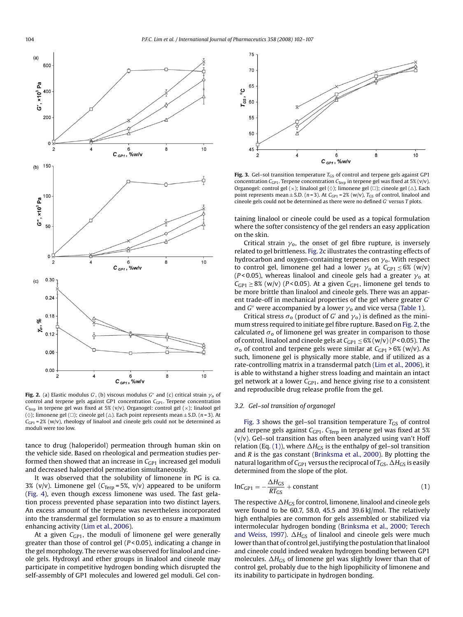<span id="page-2-0"></span>

**Fig. 2.** (a) Elastic modulus G', (b) viscous modulus G'' and (c) critical strain  $\gamma_{\rm o}$  of control and terpene gels against GP1 concentration  $C_{\text{GP1}}$ . Terpene concentration *C*<sub>Terp</sub> in terpene gel was fixed at 5% (v/v). Organogel: control gel ( $\times$ ); linalool gel ( $\diamond$ ); limonene gel ( $\square$ ); cineole gel ( $\triangle$ ). Each point represents mean  $\pm$  S.D. (*n* = 3). At  $C_{\text{GPI}}$  = 2% (w/v), rheology of linalool and cineole gels could not be determined as moduli were too low.

tance to drug (haloperidol) permeation through human skin on the vehicle side. Based on rheological and permeation studies performed then showed that an increase in *C<sub>GP1</sub>* increased gel moduli and decreased haloperidol permeation simultaneously.

It was observed that the solubility of limonene in PG is ca. 3% (v/v). Limonene gel (C<sub>Terp</sub> = 5%, v/v) appeared to be uniform ([Fig. 4\),](#page-3-0) even though excess limonene was used. The fast gelation process prevented phase separation into two distinct layers. An excess amount of the terpene was nevertheless incorporated into the transdermal gel formulation so as to ensure a maximum enhancing activity ([Lim et al., 2006\).](#page-4-0)

At a given C<sub>GP1</sub>, the moduli of limonene gel were generally greater than those of control gel (*P* < 0.05), indicating a change in the gel morphology. The reverse was observed for linalool and cineole gels. Hydroxyl and ether groups in linalool and cineole may participate in competitive hydrogen bonding which disrupted the self-assembly of GP1 molecules and lowered gel moduli. Gel con-



**Fig. 3.** Gel–sol transition temperature  $T_{GS}$  of control and terpene gels against GP1 concentration  $C_{\text{GPI}}$ . Terpene concentration  $C_{\text{Terp}}$  in terpene gel was fixed at 5% (v/v). Organogel: control gel  $(\times)$ ; linalool gel  $(\Diamond)$ ; limonene gel  $(\Box)$ ; cineole gel  $(\triangle)$ . Each point represents mean  $\pm$  S.D. (*n* = 3). At  $C_{GPI}$  = 2% (w/v),  $T_{GS}$  of control, linalool and cineole gels could not be determined as there were no defined *G'* versus *T* plots.

taining linalool or cineole could be used as a topical formulation where the softer consistency of the gel renders an easy application on the skin.

Critical strain  $\gamma_0$ , the onset of gel fibre rupture, is inversely related to gel brittleness. Fig. 2c illustrates the contrasting effects of hydrocarbon and oxygen-containing terpenes on  $\gamma_{\mathbf{0}}.$  With respect to control gel, limonene gel had a lower  $\gamma_0$  at  $C_{GP1} \leq 6\%$  (w/v) (P<0.05), whereas linalool and cineole gels had a greater  $\gamma_{\rm o}$  at  $C_{GP1} \geq 8\%$  (w/v) ( $P < 0.05$ ). At a given  $C_{GP1}$ , limonene gel tends to be more brittle than linalool and cineole gels. There was an apparent trade-off in mechanical properties of the gel where greater *G* and G'' were accompanied by a lower  $\gamma_0$  and vice versa [\(Table 1\).](#page-1-0)

Critical stress  $\sigma_0$  (product of G' and  $\gamma_0$ ) is defined as the minimum stress required to initiate gel fibre rupture. Based on Fig. 2, the calculated  $\sigma_0$  of limonene gel was greater in comparison to those of control, linalool and cineole gels at  $C_{GP1} \leq 6\%$  (w/v) ( $P < 0.05$ ). The  $\sigma_0$  of control and terpene gels were similar at  $C_{\text{GP1}} > 6\%$  (w/v). As such, limonene gel is physically more stable, and if utilized as a rate-controlling matrix in a transdermal patch [\(Lim et al., 2006\),](#page-4-0) it is able to withstand a higher stress loading and maintain an intact gel network at a lower C<sub>GP1</sub>, and hence giving rise to a consistent and reproducible drug release profile from the gel.

# *3.2. Gel–sol transition of organogel*

Fig. 3 shows the gel–sol transition temperature  $T_{GS}$  of control and terpene gels against C<sub>GP1</sub>. C<sub>Terp</sub> in terpene gel was fixed at 5%  $(v/v)$ . Gel–sol transition has often been analyzed using van't Hoff relation (Eq. (1)), where  $\Delta H_{GS}$  is the enthalpy of gel-sol transition and *R* is the gas constant ([Brinksma et al., 2000\).](#page-4-0) By plotting the natural logarithm of  $C_{GP1}$  versus the reciprocal of  $T_{GS}$ ,  $\Delta H_{GS}$  is easily determined from the slope of the plot.

$$
lnC_{GP1} = -\frac{\Delta H_{GS}}{RT_{GS}} + constant
$$
\n(1)

The respective  $\Delta H_{GS}$  for control, limonene, linalool and cineole gels were found to be 60.7, 58.0, 45.5 and 39.6 kJ/mol. The relatively high enthalpies are common for gels assembled or stabilized via intermolecular hydrogen bonding [\(Brinksma et al., 2000; Terech](#page-4-0) [and Weiss, 1997\).](#page-4-0)  $\Delta H_{GS}$  of linalool and cineole gels were much lower than that of control gel, justifying the postulation that linalool and cineole could indeed weaken hydrogen bonding between GP1 molecules.  $\Delta H_{GS}$  of limonene gel was slightly lower than that of control gel, probably due to the high lipophilicity of limonene and its inability to participate in hydrogen bonding.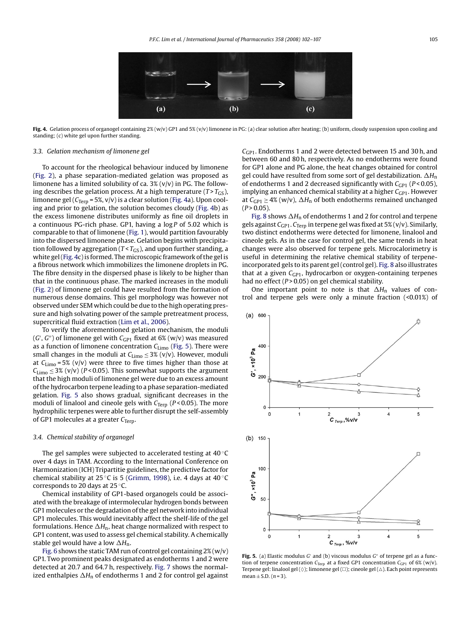<span id="page-3-0"></span>

Fig. 4. Gelation process of organogel containing 2% (w/v) GP1 and 5% (v/v) limonene in PG: (a) clear solution after heating; (b) uniform, cloudy suspension upon cooling and standing; (c) white gel upon further standing.

#### *3.3. Gelation mechanism of limonene gel*

To account for the rheological behaviour induced by limonene [\(Fig. 2\)](#page-2-0), a phase separation-mediated gelation was proposed as limonene has a limited solubility of ca. 3% (v/v) in PG. The following describes the gelation process. At a high temperature  $(T > T_{GS})$ , limonene gel ( $C_{\text{Terp}}$  = 5%, v/v) is a clear solution (Fig. 4a). Upon cooling and prior to gelation, the solution becomes cloudy (Fig. 4b) as the excess limonene distributes uniformly as fine oil droplets in a continuous PG-rich phase. GP1, having a log *P* of 5.02 which is comparable to that of limonene ([Fig. 1\),](#page-1-0) would partition favourably into the dispersed limonene phase. Gelation begins with precipitation followed by aggregation ( $T < T_{GS}$ ), and upon further standing, a white gel (Fig. 4c) is formed. The microscopic framework of the gel is a fibrous network which immobilizes the limonene droplets in PG. The fibre density in the dispersed phase is likely to be higher than that in the continuous phase. The marked increases in the moduli [\(Fig. 2\)](#page-2-0) of limonene gel could have resulted from the formation of numerous dense domains. This gel morphology was however not observed under SEM which could be due to the high operating pressure and high solvating power of the sample pretreatment process, supercritical fluid extraction [\(Lim et al., 2006\).](#page-4-0)

To verify the aforementioned gelation mechanism, the moduli (*G* , *G*) of limonene gel with *C*GP1 fixed at 6% (w/v) was measured as a function of limonene concentration  $C_{\text{Limo}}$  (Fig. 5). There were small changes in the moduli at  $C_{Limo} \leq 3\%$  (v/v). However, moduli at  $C_{\text{Limo}}$  = 5% (v/v) were three to five times higher than those at  $C_{\text{Limo}} \leq 3\%$  (v/v) (*P* < 0.05). This somewhat supports the argument that the high moduli of limonene gel were due to an excess amount of the hydrocarbon terpene leading to a phase separation-mediated gelation. Fig. 5 also shows gradual, significant decreases in the moduli of linalool and cineole gels with *C*<sub>Terp</sub> (*P* < 0.05). The more hydrophilic terpenes were able to further disrupt the self-assembly of GP1 molecules at a greater C<sub>Terp</sub>.

## *3.4. Chemical stability of organogel*

The gel samples were subjected to accelerated testing at 40 ◦C over 4 days in TAM. According to the International Conference on Harmonization (ICH) Tripartitie guidelines, the predictive factor for chemical stability at 25 ◦C is 5 ([Grimm, 1998\),](#page-4-0) i.e. 4 days at 40 ◦C corresponds to 20 days at 25 ◦C.

Chemical instability of GP1-based organogels could be associated with the breakage of intermolecular hydrogen bonds between GP1 molecules or the degradation of the gel network into individual GP1 molecules. This would inevitably affect the shelf-life of the gel formulations. Hence  $\Delta H_n$ , heat change normalized with respect to GP1 content, was used to assess gel chemical stability. A chemically stable gel would have a low  $\Delta H_n$ .

[Fig. 6](#page-4-0) shows the static TAM run of control gel containing  $2\%$  (w/v) GP1. Two prominent peaks designated as endotherms 1 and 2 were detected at 20.7 and 64.7 h, respectively. [Fig. 7](#page-4-0) shows the normalized enthalpies  $\Delta H_n$  of endotherms 1 and 2 for control gel against *C*GP1. Endotherms 1 and 2 were detected between 15 and 30 h, and between 60 and 80 h, respectively. As no endotherms were found for GP1 alone and PG alone, the heat changes obtained for control gel could have resulted from some sort of gel destabilization.  $\Delta H_{\text{n}}$ of endotherms 1 and 2 decreased significantly with  $C_{\text{GP1}}$  (*P* < 0.05), implying an enhanced chemical stability at a higher C<sub>GP1</sub>. However at  $C_{\text{GPI}} \geq 4\%$  (w/v),  $\Delta H_n$  of both endotherms remained unchanged  $(P > 0.05)$ .

[Fig. 8](#page-4-0) shows  $\Delta H_n$  of endotherms 1 and 2 for control and terpene gels against C<sub>GP1</sub>. C<sub>Terp</sub> in terpene gel was fixed at 5% (v/v). Similarly, two distinct endotherms were detected for limonene, linalool and cineole gels. As in the case for control gel, the same trends in heat changes were also observed for terpene gels. Microcalorimetry is useful in determining the relative chemical stability of terpeneincorporated gels to its parent gel (control gel). [Fig. 8](#page-4-0) also illustrates that at a given *C<sub>GP1</sub>*, hydrocarbon or oxygen-containing terpenes had no effect (*P* > 0.05) on gel chemical stability.

One important point to note is that  $\Delta H$ <sub>n</sub> values of control and terpene gels were only a minute fraction (<0.01%) of



Fig. 5. (a) Elastic modulus *G'* and (b) viscous modulus *G"* of terpene gel as a function of terpene concentration  $C_{\text{Terp}}$  at a fixed GP1 concentration  $C_{\text{GP1}}$  of 6% (w/v). Terpene gel: linalool gel ( $\Diamond$ ); limonene gel ( $\Box$ ); cineole gel ( $\triangle$ ). Each point represents mean  $\pm$  S.D. (*n* = 3).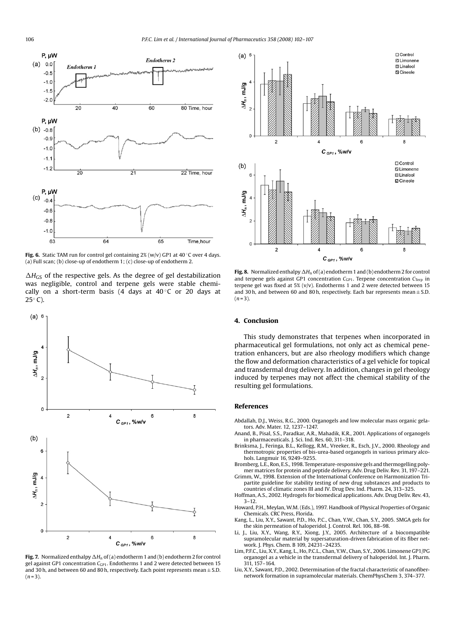<span id="page-4-0"></span>

**Fig. 6.** Static TAM run for control gel containing 2% (w/v) GP1 at 40 ℃ over 4 days. (a) Full scan; (b) close-up of endotherm 1; (c) close-up of endotherm 2.

 $\Delta H_{GS}$  of the respective gels. As the degree of gel destabilization was negligible, control and terpene gels were stable chemically on a short-term basis (4 days at  $40^{\circ}$ C or 20 days at  $25^\circ$  C).



**Fig. 7.** Normalized enthalpy  $\Delta H$ <sub>n</sub> of (a) endotherm 1 and (b) endotherm 2 for control gel against GP1 concentration *C<sub>GP1</sub>*. Endotherms 1 and 2 were detected between 15 and 30 h, and between 60 and 80 h, respectively. Each point represents mean  $\pm$  S.D.  $(n=3)$ .



**Fig. 8.** Normalized enthalpy  $\Delta H$ <sub>n</sub> of (a) endotherm 1 and (b) endotherm 2 for control and terpene gels against GP1 concentration C<sub>GP1</sub>. Terpene concentration C<sub>Terp</sub> in terpene gel was fixed at 5% (v/v). Endotherms 1 and 2 were detected between 15 and 30 h, and between 60 and 80 h, respectively. Each bar represents mean  $\pm$  S.D.  $(n=3)$ .

# **4. Conclusion**

This study demonstrates that terpenes when incorporated in pharmaceutical gel formulations, not only act as chemical penetration enhancers, but are also rheology modifiers which change the flow and deformation characteristics of a gel vehicle for topical and transdermal drug delivery. In addition, changes in gel rheology induced by terpenes may not affect the chemical stability of the resulting gel formulations.

### **References**

- Abdallah, D.J., Weiss, R.G., 2000. Organogels and low molecular mass organic gelators. Adv. Mater. 12, 1237–1247.
- Anand, B., Pisal, S.S., Paradkar, A.R., Mahadik, K.R., 2001. Applications of organogels in pharmaceuticals. J. Sci. Ind. Res. 60, 311–318.
- Brinksma, J., Feringa, B.L., Kellogg, R.M., Vreeker, R., Esch, J.V., 2000. Rheology and thermotropic properties of bis-urea-based organogels in various primary alcohols. Langmuir 16, 9249–9255.
- Bromberg, L.E., Ron, E.S., 1998. Temperature-responsive gels and thermogelling polymer matrices for protein and peptide delivery. Adv. Drug Deliv. Rev. 31, 197–221.
- Grimm, W., 1998. Extension of the International Conference on Harmonization Tripartite guideline for stability testing of new drug substances and products to
- countries of climatic zones III and IV. Drug Dev. Ind. Pharm. 24, 313–325. Hoffman, A.S., 2002. Hydrogels for biomedical applications. Adv. Drug Deliv. Rev. 43, 3–12.
- Howard, P.H., Meylan, W.M. (Eds.), 1997. Handbook of Physical Properties of Organic Chemicals. CRC Press, Florida.
- Kang, L., Liu, X.Y., Sawant, P.D., Ho, P.C., Chan, Y.W., Chan, S.Y., 2005. SMGA gels for the skin permeation of haloperidol. J. Control. Rel. 106, 88–98.
- Li, J., Liu, X.Y., Wang, R.Y., Xiong, J.Y., 2005. Architecture of a biocompatible supramolecular material by supersaturation-driven fabrication of its fiber network. J. Phys. Chem. B 109, 24231–24235.
- Lim, P.F.C., Liu, X.Y., Kang, L., Ho, P.C.L., Chan, Y.W., Chan, S.Y., 2006. Limonene GP1/PG organogel as a vehicle in the transdermal delivery of haloperidol. Int. J. Pharm. 311, 157–164.
- Liu, X.Y., Sawant, P.D., 2002. Determination of the fractal characteristic of nanofibernetwork formation in supramolecular materials. ChemPhysChem 3, 374–377.